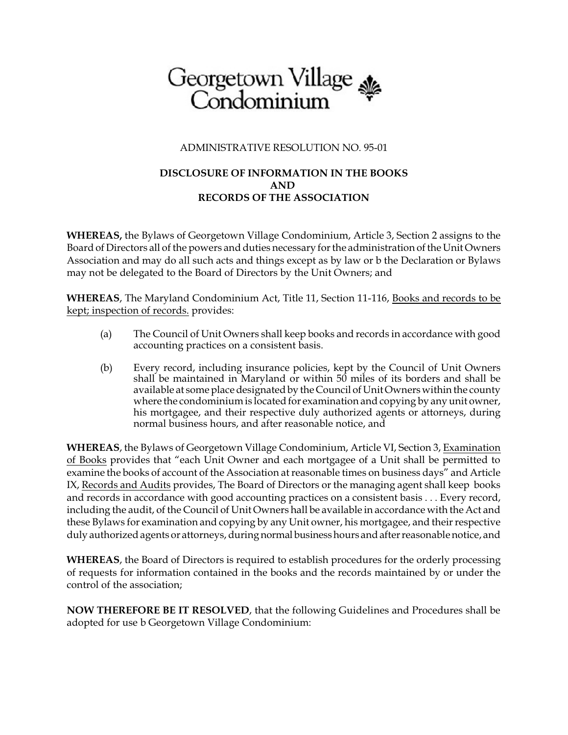# Georgetown Village<br>Condominium

## ADMINISTRATIVE RESOLUTION NO. 95-01

## **DISCLOSURE OF INFORMATION IN THE BOOKS AND RECORDS OF THE ASSOCIATION**

**WHEREAS,** the Bylaws of Georgetown Village Condominium, Article 3, Section 2 assigns to the Board of Directors all of the powers and duties necessary for the administration of the Unit Owners Association and may do all such acts and things except as by law or b the Declaration or Bylaws may not be delegated to the Board of Directors by the Unit Owners; and

**WHEREAS**, The Maryland Condominium Act, Title 11, Section 11-116, Books and records to be kept; inspection of records. provides:

- (a) The Council of Unit Owners shall keep books and records in accordance with good accounting practices on a consistent basis.
- (b) Every record, including insurance policies, kept by the Council of Unit Owners shall be maintained in Maryland or within 50 miles of its borders and shall be available at some place designated by the Council of Unit Owners within the county where the condominium is located for examination and copying by any unit owner, his mortgagee, and their respective duly authorized agents or attorneys, during normal business hours, and after reasonable notice, and

**WHEREAS**, the Bylaws of Georgetown Village Condominium, Article VI, Section 3, Examination of Books provides that "each Unit Owner and each mortgagee of a Unit shall be permitted to examine the books of account of the Association at reasonable times on business days" and Article IX, Records and Audits provides, The Board of Directors or the managing agent shall keep books and records in accordance with good accounting practices on a consistent basis . . . Every record, including the audit, of the Council of Unit Owners hall be available in accordance with the Act and these Bylaws for examination and copying by any Unit owner, his mortgagee, and their respective duly authorized agents or attorneys, during normal businesshours and after reasonable notice, and

**WHEREAS**, the Board of Directors is required to establish procedures for the orderly processing of requests for information contained in the books and the records maintained by or under the control of the association;

**NOW THEREFORE BE IT RESOLVED**, that the following Guidelines and Procedures shall be adopted for use b Georgetown Village Condominium: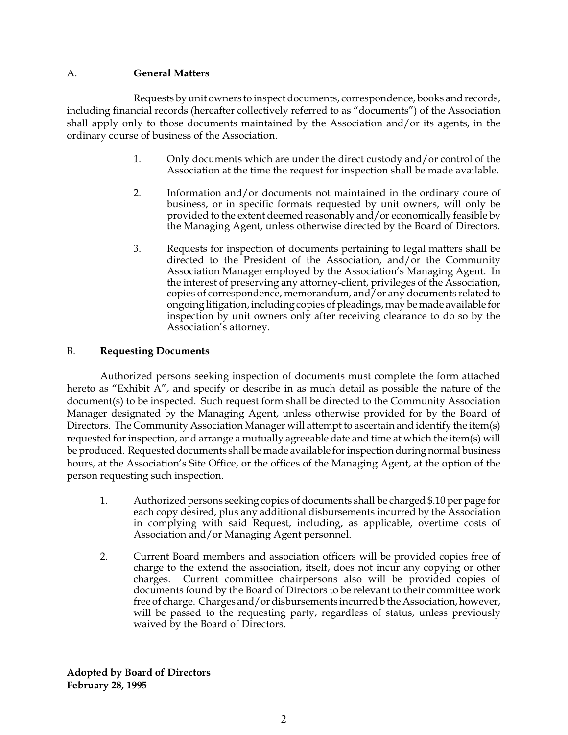### A. **General Matters**

Requests by unit owners to inspect documents, correspondence, books and records, including financial records (hereafter collectively referred to as "documents") of the Association shall apply only to those documents maintained by the Association and/or its agents, in the ordinary course of business of the Association.

- 1. Only documents which are under the direct custody and/or control of the Association at the time the request for inspection shall be made available.
- 2. Information and/or documents not maintained in the ordinary coure of business, or in specific formats requested by unit owners, will only be provided to the extent deemed reasonably and/or economically feasible by the Managing Agent, unless otherwise directed by the Board of Directors.
- 3. Requests for inspection of documents pertaining to legal matters shall be directed to the President of the Association, and/or the Community Association Manager employed by the Association's Managing Agent. In the interest of preserving any attorney-client, privileges of the Association, copies of correspondence, memorandum, and/or any documents related to ongoing litigation, including copies of pleadings, may be made available for inspection by unit owners only after receiving clearance to do so by the Association's attorney.

#### B. **Requesting Documents**

Authorized persons seeking inspection of documents must complete the form attached hereto as "Exhibit A", and specify or describe in as much detail as possible the nature of the document(s) to be inspected. Such request form shall be directed to the Community Association Manager designated by the Managing Agent, unless otherwise provided for by the Board of Directors. The Community Association Manager will attempt to ascertain and identify the item(s) requested for inspection, and arrange a mutually agreeable date and time at which the item(s) will be produced. Requested documents shall be made available for inspection during normal business hours, at the Association's Site Office, or the offices of the Managing Agent, at the option of the person requesting such inspection.

- 1. Authorized persons seeking copies of documents shall be charged \$.10 per page for each copy desired, plus any additional disbursements incurred by the Association in complying with said Request, including, as applicable, overtime costs of Association and/or Managing Agent personnel.
- 2. Current Board members and association officers will be provided copies free of charge to the extend the association, itself, does not incur any copying or other charges. Current committee chairpersons also will be provided copies of documents found by the Board of Directors to be relevant to their committee work free of charge. Charges and/or disbursements incurred b the Association, however, will be passed to the requesting party, regardless of status, unless previously waived by the Board of Directors.

**Adopted by Board of Directors February 28, 1995**